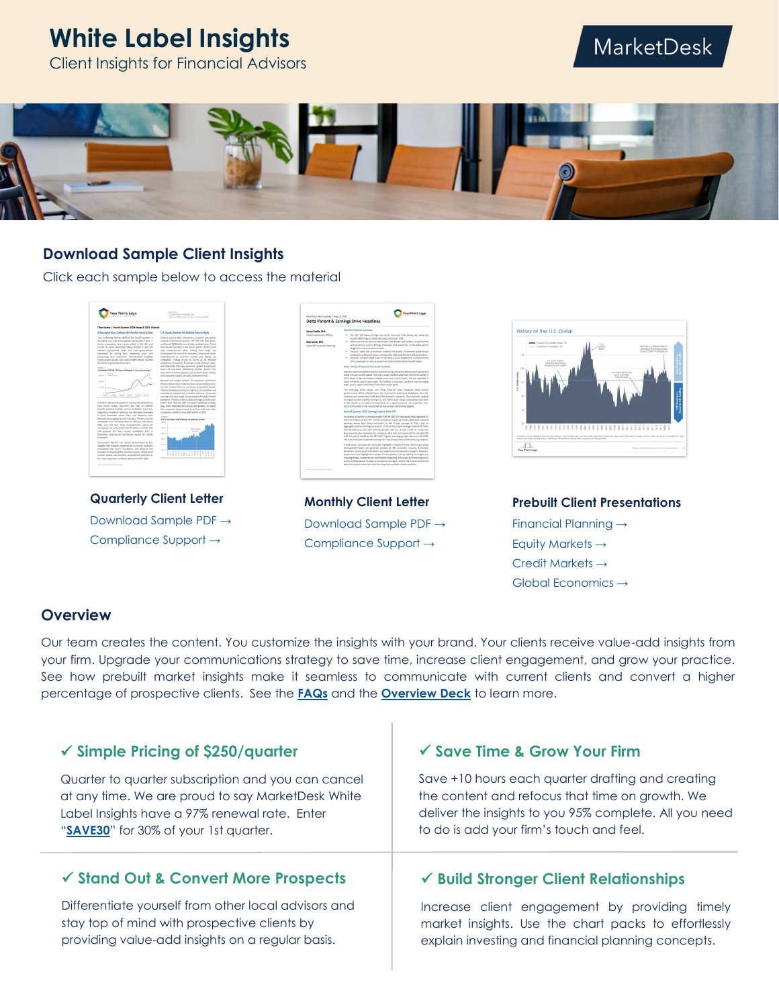# **White Label Insights**

#### Client Insights for Financial Advisors

## MarketDesk



#### **Download Sample Client Insights**

Click each sample below to access the material



**Quarterly Client Letter** [Download Sample PDF →](https://reports.marketdeskresearch.com/hubfs/4-WhiteLabel/0-Samples/SAMPLEQLETTER.pdf) [Compliance Support →](https://reports.marketdeskresearch.com/hubfs/4-WhiteLabel/0-Samples/SAMPLEQLETTER-Compliance.pdf)

| Monthly Client Undate   August 2021<br>Delta Variant & Earnings Drive Headlines |                                                                                                                                                                                                                                                                                                                                                                                                                                                                                                                                                                                                                                                                                                              |
|---------------------------------------------------------------------------------|--------------------------------------------------------------------------------------------------------------------------------------------------------------------------------------------------------------------------------------------------------------------------------------------------------------------------------------------------------------------------------------------------------------------------------------------------------------------------------------------------------------------------------------------------------------------------------------------------------------------------------------------------------------------------------------------------------------|
| Susan Smith, CFA                                                                | Monthly Market Summary                                                                                                                                                                                                                                                                                                                                                                                                                                                                                                                                                                                                                                                                                       |
| Chief Investment Officer<br><b>Bob Smith, CPA</b><br>Head of Financial Planning | . The S&P 500 index of large cap stocks returned 2.4% during July, while the<br>Bussell 2000 Index of small can stocks returned -3.6N.<br>Defensive sectors, such as Health Care, Real Estate, and Utilities, outperformed.<br>cyclical sectors, such as Energy, Financials, and Industrials, as the delta variant<br>weighed on the economic outlook.<br>. Treasury yields fell as investors rotated into bonds, investment grade bonds<br>produced a 1.4% total return compared to high visibl heads" 0.1% total return.<br>. Oil prices initially traded lower as the delta variant weighed on oil demand and<br>OPEC pregared to raise oil production before finishing the month higher.                 |
|                                                                                 | Delta Variant Pressures Francesic Outlook                                                                                                                                                                                                                                                                                                                                                                                                                                                                                                                                                                                                                                                                    |
|                                                                                 | Investors questioned the economic outlook during July as the delta variant spread and<br>Covid-19 case counts spleed. The rise in cases marked a dramatic shift from earlier in<br>2021 when rising vaccinations helped push case counts lower. The key question is<br>when will delta variant cases peak. The outlook is uncertain, but there is encouraging<br>news, as U.K. steps trend lower from their recent small.                                                                                                                                                                                                                                                                                    |
|                                                                                 | The emerging delta variant and rising Could-39 cases impacted stock market<br>performance. While officials have not resorted to wide-scale lockdowns thus far.<br>investors are concerned it will delay the economic recovery. The uncertain outlook<br>increased market volatility during July, and riskler asset classes underperformed-early<br>in the month as investors trimmed bets on a rapid recovery. On a positive note,<br>returns improved in the second half of July as fears diminished slightly.                                                                                                                                                                                              |
|                                                                                 | Second Osjamer 2021 Earnings Season Kirks Off                                                                                                                                                                                                                                                                                                                                                                                                                                                                                                                                                                                                                                                                |
|                                                                                 | According to Eartfat's Earnings broads, 50% of S&P 500 companies have reported Q2.<br>2021 earnings as of July 30th. Of the companies reporting results. 68% have reported<br>earnings above Wall Street extimates by the 5-year average of 75NL with an<br>aggregate positive earnings surprise of 17.2% on the 5-year average surprise of 7.8%).<br>The blended year-over-year earnings growth rate (i.e., actual results for companies<br>that renovind nice estimates for compariso that have not renovind for the S&P 530.<br>is 85.1%, which would be the S&P 500's highest earnings growth rate since O4 2009.<br>The data indicates consorate earnings are recovering nicely as the economy regares. |
|                                                                                 | A look across earnings call transcripts highlights multiple themes. Most importantly,<br>management teams are generally positive on the economic recovery. Consumer<br>demand is returning as restrictions are relaxed and the economy respens. However,<br>companies have highlighted multiple friction points, such as staffing shortages and<br>shipping-delays, created by the accelerated recogning. The local care increasing costs,<br>which is being gassed through to consumers via higher prices. The friction points may<br>slow the recovery near-term but the long-term outlook remains positive.                                                                                               |

**Monthly Client Letter** [Download Sample PDF →](https://reports.marketdeskresearch.com/hubfs/4-WhiteLabel/0-Samples/SAMPLEMLETTER.pdf) [Compliance Support →](https://reports.marketdeskresearch.com/hubfs/4-WhiteLabel/0-Samples/SAMPLEMLETTER-Compliance.pdf)



**Prebuilt Client Presentations** [Financial Planning →](https://reports.marketdeskresearch.com/hubfs/4-WhiteLabel/0-Samples/SampleAA&FP.pdf) [Equity Markets →](https://reports.marketdeskresearch.com/hubfs/4-WhiteLabel/0-Samples/SampleGlobalEquity.pdf) [Credit Markets →](https://reports.marketdeskresearch.com/hubfs/4-WhiteLabel/0-Samples/SampleGlobalCredit.pdf) [Global Economics →](https://reports.marketdeskresearch.com/hubfs/4-WhiteLabel/0-Samples/SampleGlobalEcon.pdf)

#### **Overview**

Our team creates the content. You customize the insights with your brand. Your clients receive value-add insights from your firm. Upgrade your communications strategy to save time, increase client engagement, and grow your practice. See how prebuilt market insights make it seamless to communicate with current clients and convert a higher percentage of prospective clients. See the **[FAQs](https://reports.marketdeskresearch.com/hubfs/3-Resources/1-WhiteLabel/WebsiteFAQs.pdf)** and the **[Overview Deck](https://reports.marketdeskresearch.com/hubfs/3-Resources/1-WhiteLabel/WhiteLabelOverview.pdf)** to learn more.

#### ✓ **Simple Pricing of \$250/quarter** Quarter to quarter subscription and you can cancel at any time. We are proud to say MarketDesk White Label Insights have a 97% renewal rate. Enter "**[SAVE30](https://www.marketdeskresearch.com/plans)**" for 30% of your 1st quarter. ✓ **Save Time & Grow Your Firm** Save +10 hours each quarter drafting and creating the content and refocus that time on growth. We deliver the insights to you 95% complete. All you need to do is add your firm's touch and feel. ✓ **Build Stronger Client Relationships** ✓ **Stand Out & Convert More Prospects**

Differentiate yourself from other local advisors and stay top of mind with prospective clients by providing value-add insights on a regular basis.

Increase client engagement by providing timely market insights. Use the chart packs to effortlessly explain investing and financial planning concepts.